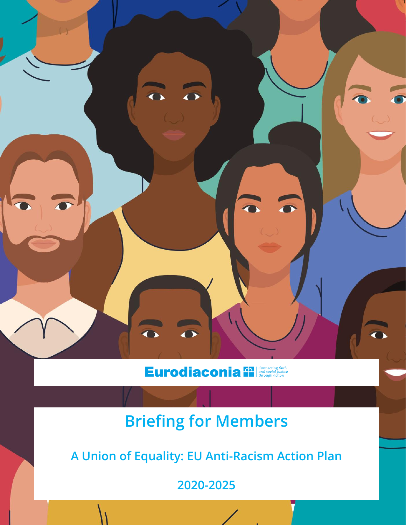

# **Eurodiaconia fil connecting faith**

# **Briefing for Members**

**A Union of Equality: EU Anti-Racism Action Plan** 

**2020-2025**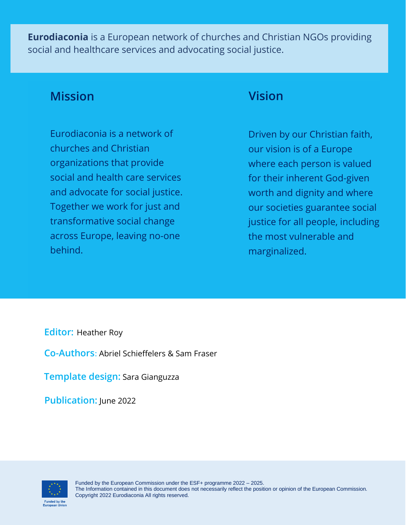**Eurodiaconia** is a European network of churches and Christian NGOs providing social and healthcare services and advocating social justice.

### **Mission**

Eurodiaconia is a network of churches and Christian organizations that provide social and health care services and advocate for social justice. Together we work for just and transformative social change across Europe, leaving no-one behind.

### **Vision**

Driven by our Christian faith, our vision is of a Europe where each person is valued for their inherent God-given worth and dignity and where our societies guarantee social justice for all people, including the most vulnerable and marginalized.

**Editor:** Heather Roy

**Co-Authors**: Abriel Schieffelers & Sam Fraser

**Template design:** Sara Gianguzza

**Publication:** June 2022

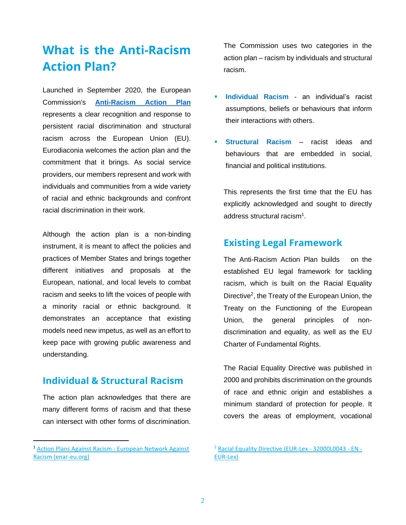## **What is the Anti-Racism Action Plan?**

Launched in September 2020, the European Commission's **[Anti-Racism Action Plan](file:///C:/Users/sam/AppData/Local/Microsoft/Windows/INetCache/Content.Outlook/UR91KA4F/%22https:/ec.europa.eu/migrant-integration/library-document/union-equality-eu-anti-racism-action-plan-2020-2025_en%22%20/l%20%22:~:text=A%20Union%20of%20Equality:%20EU%20anti-racism%20action%20plan,structural%20racism%20in%20the%20EU%20through%20legislative%20measures)** represents a clear recognition and response to persistent racial discrimination and structural racism across the European Union (EU). Eurodiaconia welcomes the action plan and the commitment that it brings. As social service providers, our members represent and work with individuals and communities from a wide variety of racial and ethnic backgrounds and confront racial discrimination in their work.

Although the action plan is a non-binding instrument, it is meant to affect the policies and practices of Member States and brings together different initiatives and proposals at the European, national, and local levels to combat racism and seeks to lift the voices of people with a minority racial or ethnic background. It demonstrates an acceptance that existing models need new impetus, as well as an effort to keep pace with growing public awareness and understanding.

#### **Individual & Structural Racism**

The action plan acknowledges that there are many different forms of racism and that these can intersect with other forms of discrimination. The Commission uses two categories in the action plan – racism by individuals and structural racism.

- **Individual Racism an individual's racist** assumptions, beliefs or behaviours that inform their interactions with others.
- **Structural Racism racist ideas and** behaviours that are embedded in social, financial and political institutions.

This represents the first time that the EU has explicitly acknowledged and sought to directly address structural racism $^1$ .

#### **Existing Legal Framework**

The Anti-Racism Action Plan builds on the established EU legal framework for tackling racism, which is built on the Racial Equality Directive<sup>2</sup>, the Treaty of the European Union, the Treaty on the Functioning of the European Union, the general principles of nondiscrimination and equality, as well as the EU Charter of Fundamental Rights.

The Racial Equality Directive was published in 2000 and prohibits discrimination on the grounds of race and ethnic origin and establishes a minimum standard of protection for people. It covers the areas of employment, vocational

<sup>1</sup> [Action Plans Against Racism -](https://www.enar-eu.org/Action-Plans-Against-Racism/) European Network Against [Racism \(enar-eu.org\)](https://www.enar-eu.org/Action-Plans-Against-Racism/)

<sup>&</sup>lt;sup>2</sup> [Racial Equality Directive \(EUR-Lex -](https://eur-lex.europa.eu/legal-content/EN/TXT/?uri=CELEX%3A32000L0043) 32000L0043 - EN -[EUR-Lex\)](https://eur-lex.europa.eu/legal-content/EN/TXT/?uri=CELEX%3A32000L0043)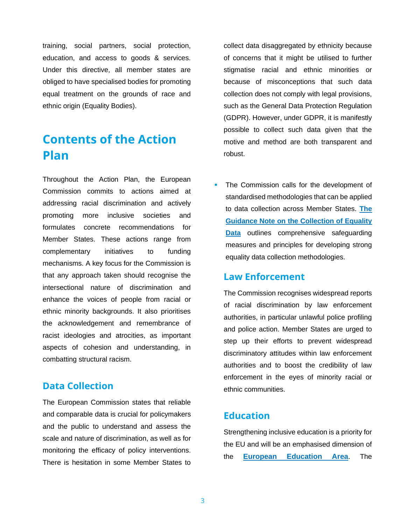training, social partners, social protection, education, and access to goods & services. Under this directive, all member states are obliged to have specialised bodies for promoting equal treatment on the grounds of race and ethnic origin (Equality Bodies).

### **Contents of the Action Plan**

Throughout the Action Plan, the European Commission commits to actions aimed at addressing racial discrimination and actively promoting more inclusive societies and formulates concrete recommendations for Member States. These actions range from complementary initiatives to funding mechanisms. A key focus for the Commission is that any approach taken should recognise the intersectional nature of discrimination and enhance the voices of people from racial or ethnic minority backgrounds. It also prioritises the acknowledgement and remembrance of racist ideologies and atrocities, as important aspects of cohesion and understanding, in combatting structural racism.

#### **Data Collection**

The European Commission states that reliable and comparable data is crucial for policymakers and the public to understand and assess the scale and nature of discrimination, as well as for monitoring the efficacy of policy interventions. There is hesitation in some Member States to collect data disaggregated by ethnicity because of concerns that it might be utilised to further stigmatise racial and ethnic minorities or because of misconceptions that such data collection does not comply with legal provisions, such as the General Data Protection Regulation (GDPR). However, under [GDPR,](https://ec.europa.eu/info/law/law-topic/data-protection/reform/rights-citizens/how-my-personal-data-protected/how-data-my-religious-beliefs-sexual-orientation-health-political-views-protected_en) it is manifestly possible to collect such data given that the motive and method are both transparent and robust.

The Commission calls for the development of standardised methodologies that can be applied to data collection across Member States. **[The](https://ec.europa.eu/info/sites/default/files/guidance_note_on_the_collection_and_use_of_equality_data_based_on_racial_or_ethnic_origin_final.pdf)  [Guidance Note on the Collection of Equality](https://ec.europa.eu/info/sites/default/files/guidance_note_on_the_collection_and_use_of_equality_data_based_on_racial_or_ethnic_origin_final.pdf)  [Data](https://ec.europa.eu/info/sites/default/files/guidance_note_on_the_collection_and_use_of_equality_data_based_on_racial_or_ethnic_origin_final.pdf)** outlines comprehensive safeguarding measures and principles for developing strong equality data collection methodologies.

#### **Law Enforcement**

The Commission recognises widespread reports of racial discrimination by law enforcement authorities, in particular unlawful police profiling and police action. Member States are urged to step up their efforts to prevent widespread discriminatory attitudes within law enforcement authorities and to boost the credibility of law enforcement in the eyes of minority racial or ethnic communities.

#### **Education**

Strengthening inclusive education is a priority for the EU and will be an emphasised dimension of the **[European Education Area](https://education.ec.europa.eu/about/eea-explained)**. The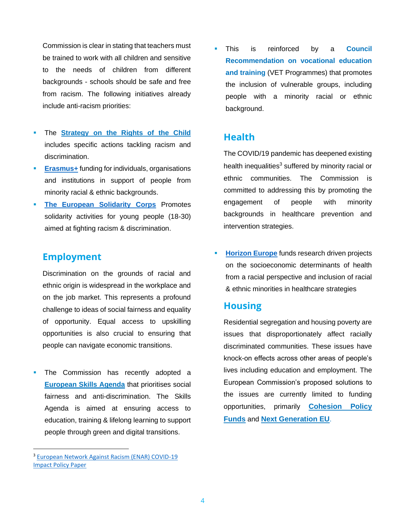Commission is clear in stating that teachers must be trained to work with all children and sensitive to the needs of children from different backgrounds - schools should be safe and free from racism. The following initiatives already include anti-racism priorities:

- The **[Strategy on the Rights of the Child](https://ec.europa.eu/info/sites/default/files/ds0821040enn_002.pdf)** includes specific actions tackling racism and discrimination.
- **[Erasmus+](https://erasmus-plus.ec.europa.eu/programme-guide/erasmusplus-programme-guide)** funding for individuals, organisations and institutions in support of people from minority racial & ethnic backgrounds.
- **[The European Solidarity Corps](https://europa.eu/youth/solidarity_en)** Promotes solidarity activities for young people (18-30) aimed at fighting racism & discrimination.

#### **Employment**

Discrimination on the grounds of racial and ethnic origin is widespread in the workplace and on the job market. This represents a profound challenge to ideas of social fairness and equality of opportunity. Equal access to upskilling opportunities is also crucial to ensuring that people can navigate economic transitions.

The Commission has recently adopted a **[European Skills Agenda](https://ec.europa.eu/social/main.jsp?catId=1223&langId=en)** that prioritises social fairness and anti-discrimination. The Skills Agenda is aimed at ensuring access to education, training & lifelong learning to support people through green and digital transitions.

This is reinforced by a **Council Recommendation on vocational education and training** (VET Programmes) that promotes the inclusion of vulnerable groups, including people with a minority racial or ethnic background.

#### **Health**

The COVID/19 pandemic has deepened existing health inequalities<sup>3</sup> suffered by minority racial or ethnic communities. The Commission is committed to addressing this by promoting the engagement of people with minority backgrounds in healthcare prevention and intervention strategies.

**[Horizon Europe](https://ec.europa.eu/info/research-and-innovation/funding/funding-opportunities/funding-programmes-and-open-calls/horizon-europe_en)** funds research driven projects on the socioeconomic determinants of health from a racial perspective and inclusion of racial & ethnic minorities in healthcare strategies

#### **Housing**

Residential segregation and housing poverty are issues that disproportionately affect racially discriminated communities. These issues have knock-on effects across other areas of people's lives including education and employment. The European Commission's proposed solutions to the issues are currently limited to funding opportunities, primarily **[Cohesion Policy](https://ec.europa.eu/regional_policy/en/funding/cohesion-fund/)  [Funds](https://ec.europa.eu/regional_policy/en/funding/cohesion-fund/)** and **[Next Generation EU](https://europa.eu/next-generation-eu/index_en)**.

<sup>3</sup> [European Network Against Racism \(ENAR\) COVID-19](https://ec.europa.eu/migrant-integration/sites/default/files/2020-06/COVID_impact_policy_paper_02_1.pdf)  [Impact Policy Paper](https://ec.europa.eu/migrant-integration/sites/default/files/2020-06/COVID_impact_policy_paper_02_1.pdf)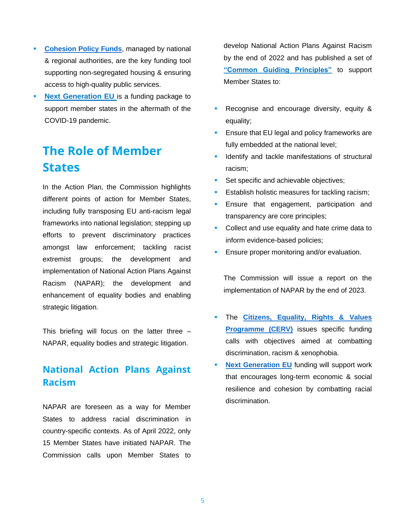- **EXECOMBED FUNDS [Cohesion Policy Funds](https://ec.europa.eu/regional_policy/en/funding/cohesion-fund/)**, managed by national & regional authorities, are the key funding tool supporting non-segregated housing & ensuring access to high-quality public services.
- **[Next Generation EU](https://europa.eu/next-generation-eu/index_en)** is a funding package to support member states in the aftermath of the COVID-19 pandemic.

# **The Role of Member States**

In the Action Plan, the Commission highlights different points of action for Member States, including fully transposing EU anti-racism legal frameworks into national legislation; stepping up efforts to prevent discriminatory practices amongst law enforcement; tackling racist extremist groups; the development and implementation of National Action Plans Against Racism (NAPAR); the development and enhancement of equality bodies and enabling strategic litigation.

This briefing will focus on the latter three – NAPAR, equality bodies and strategic litigation.

#### **National Action Plans Against Racism**

NAPAR are foreseen as a way for Member States to address racial discrimination in country-specific contexts. As of April 2022, only 15 Member States have initiated NAPAR. The Commission calls upon Member States to

develop National Action Plans Against Racism by the end of 2022 and has published a set of **["Common Guiding Principles"](https://www.antiracism-eusummit2022.eu/media/42zfloqy/scic_just_anti-racism-summit_napar-report_v05.pdf)** to support Member States to:

- **Recognise and encourage diversity, equity &** equality;
- Ensure that EU legal and policy frameworks are fully embedded at the national level;
- Identify and tackle manifestations of structural racism;
- Set specific and achievable objectives;
- Establish holistic measures for tackling racism;
- Ensure that engagement, participation and transparency are core principles;
- Collect and use equality and hate crime data to inform evidence-based policies;
- Ensure proper monitoring and/or evaluation.

The Commission will issue a report on the implementation of NAPAR by the end of 2023.

- The **Citizens, Equality, Rights & Values [Programme \(CERV\)](https://www.eacea.ec.europa.eu/grants/2021-2027/citizens-equality-rights-and-values-cerv_en#:~:text=The%20Citizens%2C%20Equality%2C%20Rights%20and%20Values%20programme%20%28CERV%29,inclusive%20societies%20based%20on%20the%20rule%20of%20law.)** issues specific funding calls with objectives aimed at combatting discrimination, racism & xenophobia.
- **[Next Generation EU](https://europa.eu/next-generation-eu/index_en)** funding will support work that encourages long-term economic & social resilience and cohesion by combatting racial discrimination.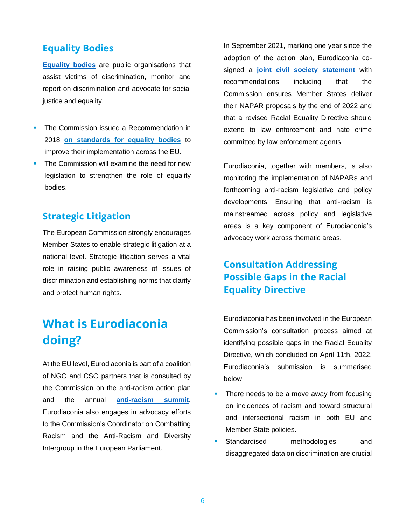#### **Equality Bodies**

**[Equality bodies](https://equineteurope.org/what-are-equality-bodies/)** are public organisations that assist victims of discrimination, monitor and report on discrimination and advocate for social justice and equality.

- The Commission issued a Recommendation in 2018 **[on standards for equality bodies](https://eur-lex.europa.eu/legal-content/EN/TXT/PDF/?uri=CELEX:32018H0951)** to improve their implementation across the EU.
- **The Commission will examine the need for new** legislation to strengthen the role of equality bodies.

#### **Strategic Litigation**

The European Commission strongly encourages Member States to enable strategic litigation at a national level. Strategic litigation serves a vital role in raising public awareness of issues of discrimination and establishing norms that clarify and protect human rights.

# **What is Eurodiaconia doing?**

At the EU level, Eurodiaconia is part of a coalition of NGO and CSO partners that is consulted by the Commission on the anti-racism action plan and the annual **[anti-racism summit](https://www.antiracism-eusummit2021.eu/)**. Eurodiaconia also engages in advocacy efforts to the Commission's Coordinator on Combatting Racism and the Anti-Racism and Diversity Intergroup in the European Parliament.

In September 2021, marking one year since the adoption of the action plan, Eurodiaconia cosigned a **[joint civil society statement](https://www.enar-eu.org/EU-Anti-Racism-Action-Plan-Civil-Society-recommendations-2021-2022/)** with recommendations including that the Commission ensures Member States deliver their NAPAR proposals by the end of 2022 and that a revised Racial Equality Directive should extend to law enforcement and hate crime committed by law enforcement agents.

Eurodiaconia, together with members, is also monitoring the implementation of NAPARs and forthcoming anti-racism legislative and policy developments. Ensuring that anti-racism is mainstreamed across policy and legislative areas is a key component of Eurodiaconia's advocacy work across thematic areas.

### **Consultation Addressing Possible Gaps in the Racial Equality Directive**

Eurodiaconia has been involved in the European Commission's consultation process aimed at identifying possible gaps in the Racial Equality Directive, which concluded on April 11th, 2022. Eurodiaconia's submission is summarised below:

- There needs to be a move away from focusing on incidences of racism and toward structural and intersectional racism in both EU and Member State policies.
- Standardised methodologies and disaggregated data on discrimination are crucial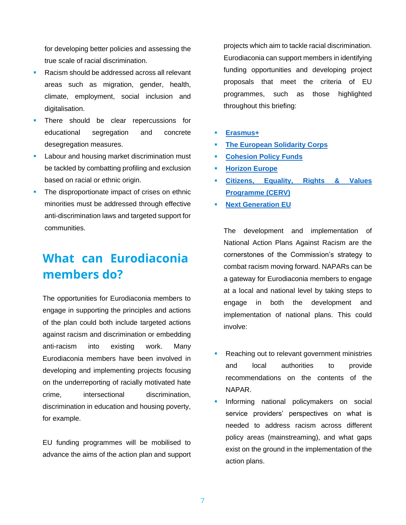for developing better policies and assessing the true scale of racial discrimination.

- Racism should be addressed across all relevant areas such as migration, gender, health, climate, employment, social inclusion and digitalisation.
- There should be clear repercussions for educational segregation and concrete desegregation measures.
- Labour and housing market discrimination must be tackled by combatting profiling and exclusion based on racial or ethnic origin.
- **The disproportionate impact of crises on ethnic** minorities must be addressed through effective anti-discrimination laws and targeted support for communities.

# **What can Eurodiaconia members do?**

The opportunities for Eurodiaconia members to engage in supporting the principles and actions of the plan could both include targeted actions against racism and discrimination or embedding anti-racism into existing work. Many Eurodiaconia members have been involved in developing and implementing projects focusing on the underreporting of racially motivated hate crime, intersectional discrimination, discrimination in education and housing poverty, for example.

EU funding programmes will be mobilised to advance the aims of the action plan and support projects which aim to tackle racial discrimination. Eurodiaconia can support members in identifying funding opportunities and developing project proposals that meet the criteria of EU programmes, such as those highlighted throughout this briefing:

- **[Erasmus+](https://erasmus-plus.ec.europa.eu/programme-guide/erasmusplus-programme-guide)**
- **[The European Solidarity Corps](https://europa.eu/youth/solidarity_en)**
- **[Cohesion Policy Funds](https://ec.europa.eu/regional_policy/en/funding/cohesion-fund/)**
- **[Horizon Europe](https://ec.europa.eu/info/research-and-innovation/funding/funding-opportunities/funding-programmes-and-open-calls/horizon-europe_en)**
- **[Citizens, Equality, Rights & Values](https://www.eacea.ec.europa.eu/grants/2021-2027/citizens-equality-rights-and-values-cerv_en#:~:text=The%20Citizens%2C%20Equality%2C%20Rights%20and%20Values%20programme%20%28CERV%29,inclusive%20societies%20based%20on%20the%20rule%20of%20law.)  [Programme \(CERV\)](https://www.eacea.ec.europa.eu/grants/2021-2027/citizens-equality-rights-and-values-cerv_en#:~:text=The%20Citizens%2C%20Equality%2C%20Rights%20and%20Values%20programme%20%28CERV%29,inclusive%20societies%20based%20on%20the%20rule%20of%20law.)**
- **[Next Generation EU](https://europa.eu/next-generation-eu/index_en)**

The development and implementation of National Action Plans Against Racism are the cornerstones of the Commission's strategy to combat racism moving forward. NAPARs can be a gateway for Eurodiaconia members to engage at a local and national level by taking steps to engage in both the development and implementation of national plans. This could involve:

- Reaching out to relevant government ministries and local authorities to provide recommendations on the contents of the NAPAR.
- Informing national policymakers on social service providers' perspectives on what is needed to address racism across different policy areas (mainstreaming), and what gaps exist on the ground in the implementation of the action plans.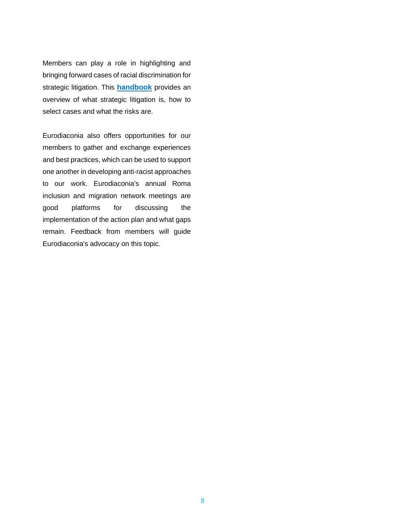Members can play a role in highlighting and bringing forward cases of racial discrimination for strategic litigation. This **[handbook](https://equineteurope.org/wp-content/uploads/2018/05/equinet-handbook_strategic-litigation_def_web-1.pdf)** provides an overview of what strategic litigation is, how to select cases and what the risks are.

Eurodiaconia also offers opportunities for our members to gather and exchange experiences and best practices, which can be used to support one another in developing anti-racist approaches to our work. Eurodiaconia's annual Roma inclusion and migration network meetings are good platforms for discussing the implementation of the action plan and what gaps remain. Feedback from members will guide Eurodiaconia's advocacy on this topic.